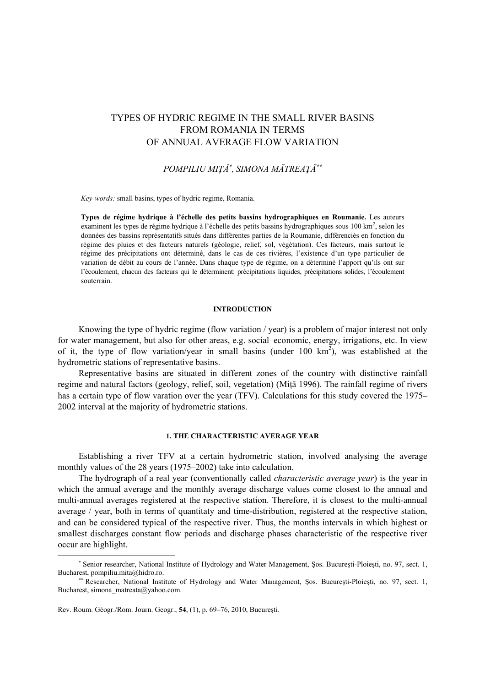# TYPES OF HYDRIC REGIME IN THE SMALL RIVER BASINS FROM ROMANIA IN TERMS OF ANNUAL AVERAGE FLOW VARIATION

*POMPILIU MIŢĂ*<sup>∗</sup> *, SIMONA MĂTREAŢĂ*∗∗

*Key-words:* small basins, types of hydric regime, Romania.

**Types de régime hydrique à l'échelle des petits bassins hydrographiques en Roumanie.** Les auteurs examinent les types de régime hydrique à l'échelle des petits bassins hydrographiques sous 100 km<sup>2</sup>, selon les données des bassins représentatifs situés dans différentes parties de la Roumanie, différenciés en fonction du régime des pluies et des facteurs naturels (géologie, relief, sol, végétation). Ces facteurs, mais surtout le régime des précipitations ont déterminé, dans le cas de ces rivières, l'existence d'un type particulier de variation de débit au cours de l'année. Dans chaque type de régime, on a déterminé l'apport qu'ils ont sur l'écoulement, chacun des facteurs qui le déterminent: précipitations liquides, précipitations solides, l'écoulement souterrain.

#### **INTRODUCTION**

Knowing the type of hydric regime (flow variation / year) is a problem of major interest not only for water management, but also for other areas, e.g. social–economic, energy, irrigations, etc. In view of it, the type of flow variation/year in small basins (under  $100 \text{ km}^2$ ), was established at the hydrometric stations of representative basins.

Representative basins are situated in different zones of the country with distinctive rainfall regime and natural factors (geology, relief, soil, vegetation) (Miţă 1996). The rainfall regime of rivers has a certain type of flow varation over the year (TFV). Calculations for this study covered the 1975– 2002 interval at the majority of hydrometric stations.

### **1. THE CHARACTERISTIC AVERAGE YEAR**

Establishing a river TFV at a certain hydrometric station, involved analysing the average monthly values of the 28 years (1975–2002) take into calculation.

The hydrograph of a real year (conventionally called *characteristic average year*) is the year in which the annual average and the monthly average discharge values come closest to the annual and multi-annual averages registered at the respective station. Therefore, it is closest to the multi-annual average / year, both in terms of quantitaty and time-distribution, registered at the respective station, and can be considered typical of the respective river. Thus, the months intervals in which highest or smallest discharges constant flow periods and discharge phases characteristic of the respective river occur are highlight.

 $\overline{\phantom{a}}$ 

<sup>∗</sup> Senior researcher, National Institute of Hydrology and Water Management, Şos. Bucureşti-Ploieşti, no. 97, sect. 1, Bucharest, pompiliu.mita@hidro.ro.

<sup>∗∗</sup> Researcher, National Institute of Hydrology and Water Management, Şos. Bucureşti-Ploieşti, no. 97, sect. 1, Bucharest, simona\_matreata@yahoo.com.

Rev. Roum. Géogr./Rom. Journ. Geogr., **54**, (1), p. 69–76, 2010, Bucureşti.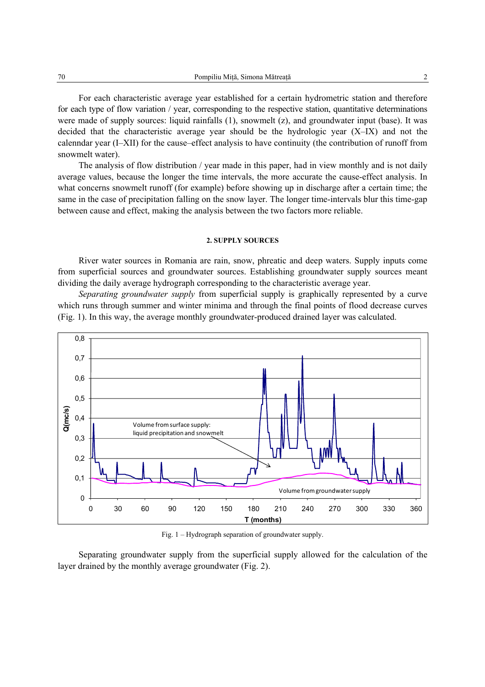For each characteristic average year established for a certain hydrometric station and therefore for each type of flow variation / year, corresponding to the respective station, quantitative determinations were made of supply sources: liquid rainfalls (1), snowmelt (z), and groundwater input (base). It was decided that the characteristic average year should be the hydrologic year (X–IX) and not the calenndar year (I–XII) for the cause–effect analysis to have continuity (the contribution of runoff from snowmelt water).

The analysis of flow distribution / year made in this paper, had in view monthly and is not daily average values, because the longer the time intervals, the more accurate the cause-effect analysis. In what concerns snowmelt runoff (for example) before showing up in discharge after a certain time; the same in the case of precipitation falling on the snow layer. The longer time-intervals blur this time-gap between cause and effect, making the analysis between the two factors more reliable.

#### **2. SUPPLY SOURCES**

River water sources in Romania are rain, snow, phreatic and deep waters. Supply inputs come from superficial sources and groundwater sources. Establishing groundwater supply sources meant dividing the daily average hydrograph corresponding to the characteristic average year.

*Separating groundwater supply* from superficial supply is graphically represented by a curve which runs through summer and winter minima and through the final points of flood decrease curves (Fig. 1). In this way, the average monthly groundwater-produced drained layer was calculated.



Fig. 1 – Hydrograph separation of groundwater supply.

Separating groundwater supply from the superficial supply allowed for the calculation of the layer drained by the monthly average groundwater (Fig. 2).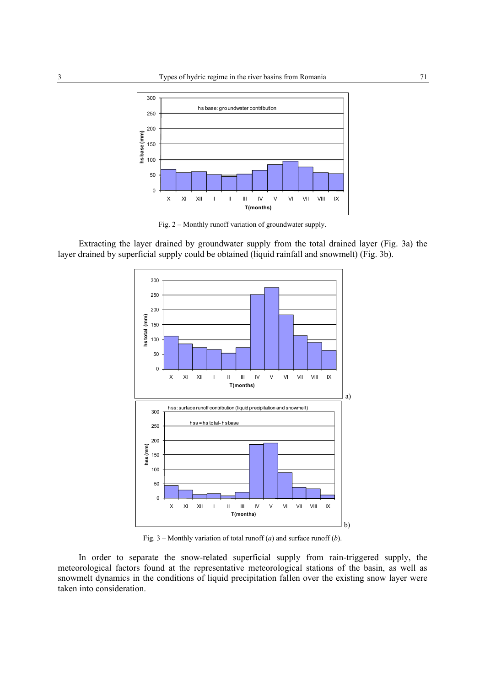

Fig. 2 – Monthly runoff variation of groundwater supply.

Extracting the layer drained by groundwater supply from the total drained layer (Fig. 3a) the layer drained by superficial supply could be obtained (liquid rainfall and snowmelt) (Fig. 3b).



Fig. 3 – Monthly variation of total runoff (*a*) and surface runoff (*b*).

In order to separate the snow-related superficial supply from rain-triggered supply, the meteorological factors found at the representative meteorological stations of the basin, as well as snowmelt dynamics in the conditions of liquid precipitation fallen over the existing snow layer were taken into consideration.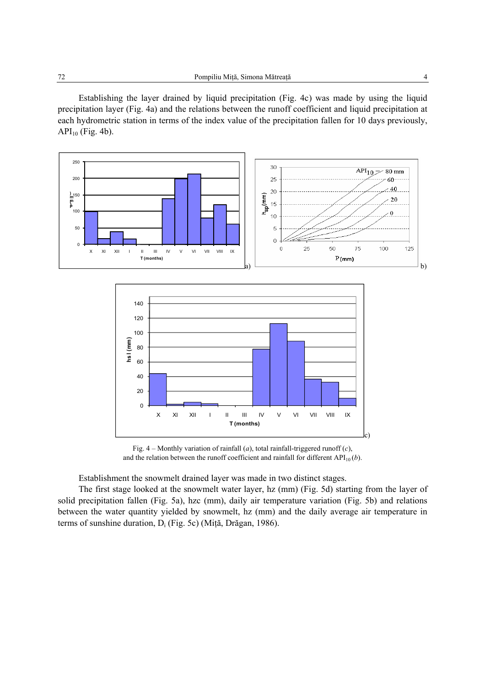Establishing the layer drained by liquid precipitation (Fig. 4c) was made by using the liquid precipitation layer (Fig. 4a) and the relations between the runoff coefficient and liquid precipitation at each hydrometric station in terms of the index value of the precipitation fallen for 10 days previously,  $API_{10}$  (Fig. 4b).



Fig. 4 – Monthly variation of rainfall (*a*), total rainfall-triggered runoff (*c*), and the relation between the runoff coefficient and rainfall for different  $API_{10}(b)$ .

Establishment the snowmelt drained layer was made in two distinct stages.

The first stage looked at the snowmelt water layer, hz (mm) (Fig. 5d) starting from the layer of solid precipitation fallen (Fig. 5a), hzc (mm), daily air temperature variation (Fig. 5b) and relations between the water quantity yielded by snowmelt, hz (mm) and the daily average air temperature in terms of sunshine duration,  $D_i$  (Fig. 5c) (Mită, Drăgan, 1986).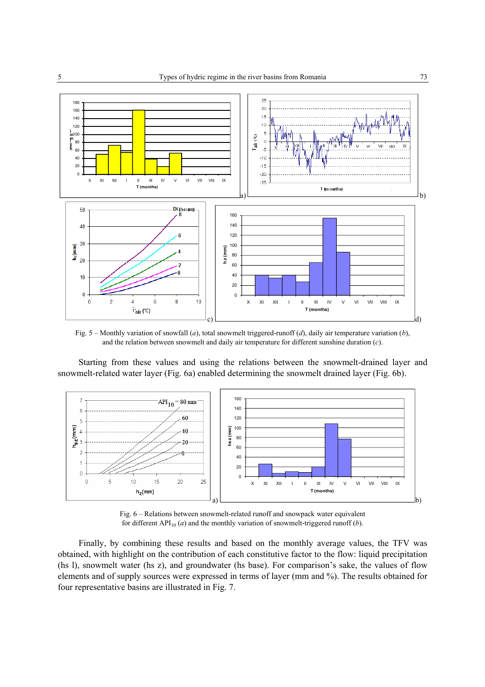![](_page_4_Figure_1.jpeg)

Fig. 5 – Monthly variation of snowfall (*a*), total snowmelt triggered-runoff (*d*), daily air temperature variation (*b*), and the relation between snowmelt and daily air temperature for different sunshine duration (*c*).

Starting from these values and using the relations between the snowmelt-drained layer and snowmelt-related water layer (Fig. 6a) enabled determining the snowmelt drained layer (Fig. 6b).

![](_page_4_Figure_4.jpeg)

Fig. 6 – Relations between snowmelt-related runoff and snowpack water equivalent for different  $API_{10}(a)$  and the monthly variation of snowmelt-triggered runoff (*b*).

Finally, by combining these results and based on the monthly average values, the TFV was obtained, with highlight on the contribution of each constitutive factor to the flow: liquid precipitation (hs l), snowmelt water (hs z), and groundwater (hs base). For comparison's sake, the values of flow elements and of supply sources were expressed in terms of layer (mm and %). The results obtained for four representative basins are illustrated in Fig. 7.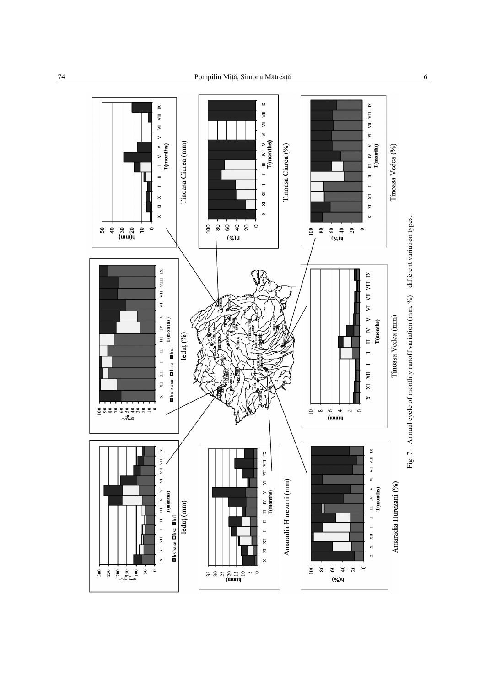![](_page_5_Figure_2.jpeg)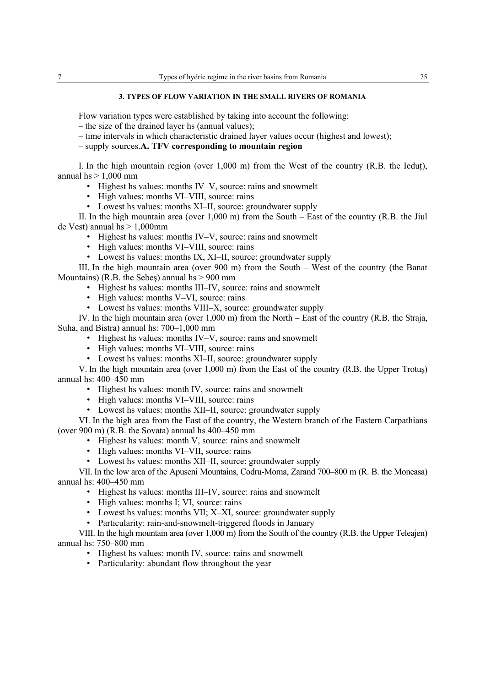#### **3. TYPES OF FLOW VARIATION IN THE SMALL RIVERS OF ROMANIA**

Flow variation types were established by taking into account the following:

- the size of the drained layer hs (annual values);
- time intervals in which characteristic drained layer values occur (highest and lowest);

– supply sources.**A. TFV corresponding to mountain region**

I. In the high mountain region (over  $1,000$  m) from the West of the country  $(R,B)$ , the Iedut), annual  $hs > 1,000$  mm

- Highest hs values: months IV–V, source: rains and snowmelt
- High values: months VI–VIII, source: rains
- Lowest hs values: months XI–II, source: groundwater supply

II. In the high mountain area (over 1,000 m) from the South – East of the country (R.B. the Jiul de Vest) annual hs  $> 1,000$ mm

- Highest hs values: months IV–V, source: rains and snowmelt
- High values: months VI–VIII, source: rains
- Lowest hs values: months IX, XI–II, source: groundwater supply

III. In the high mountain area (over 900 m) from the South – West of the country (the Banat Mountains) (R.B. the Sebes) annual hs  $> 900$  mm

- Highest hs values: months III–IV, source: rains and snowmelt
- High values: months V–VI, source: rains
- Lowest hs values: months VIII–X, source: groundwater supply

IV. In the high mountain area (over  $1,000$  m) from the North – East of the country (R.B. the Straja, Suha, and Bistra) annual hs: 700–1,000 mm

- Highest hs values: months IV–V, source: rains and snowmelt
- High values: months VI–VIII, source: rains
- Lowest hs values: months XI–II, source: groundwater supply

V. In the high mountain area (over 1,000 m) from the East of the country (R.B. the Upper Trotuş) annual hs: 400–450 mm

- Highest hs values: month IV, source: rains and snowmelt
- High values: months VI–VIII, source: rains
- Lowest hs values: months XII–II, source: groundwater supply

VI. In the high area from the East of the country, the Western branch of the Eastern Carpathians (over 900 m) (R.B. the Sovata) annual hs 400–450 mm

- Highest hs values: month V, source: rains and snowmelt
- High values: months VI–VII, source: rains
- Lowest hs values: months XII–II, source: groundwater supply

VII. In the low area of the Apuseni Mountains, Codru-Moma, Zarand 700–800 m (R. B. the Moneasa) annual hs: 400–450 mm

- Highest hs values: months III–IV, source: rains and snowmelt
- High values: months I; VI, source: rains
- Lowest hs values: months VII; X–XI, source: groundwater supply
- Particularity: rain-and-snowmelt-triggered floods in January

VIII. In the high mountain area (over 1,000 m) from the South of the country (R.B. the Upper Teleajen) annual hs: 750–800 mm

- Highest hs values: month IV, source: rains and snowmelt
- Particularity: abundant flow throughout the year